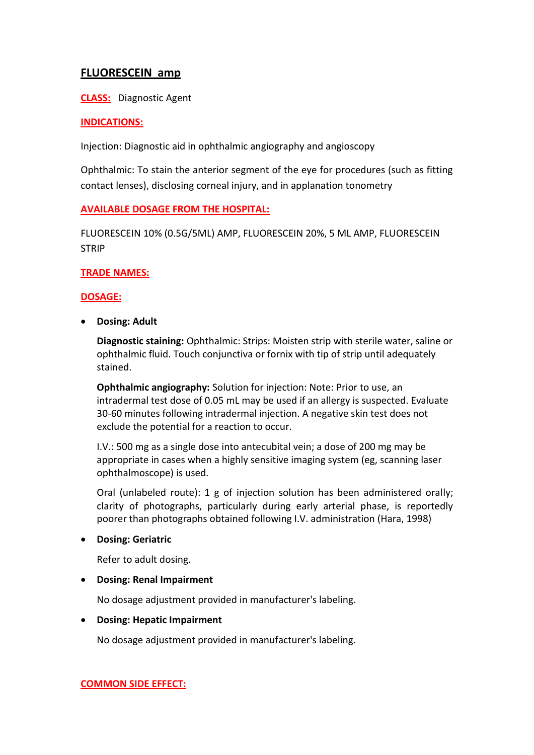# **FLUORESCEIN amp**

**CLASS:** Diagnostic Agent

## **INDICATIONS:**

Injection: Diagnostic aid in ophthalmic angiography and angioscopy

Ophthalmic: To stain the anterior segment of the eye for procedures (such as fitting contact lenses), disclosing corneal injury, and in applanation tonometry

## **AVAILABLE DOSAGE FROM THE HOSPITAL:**

FLUORESCEIN 10% (0.5G/5ML) AMP, FLUORESCEIN 20%, 5 ML AMP, FLUORESCEIN STRIP

## **TRADE NAMES:**

## **DOSAGE:**

**Dosing: Adult**

**Diagnostic staining:** Ophthalmic: Strips: Moisten strip with sterile water, saline or ophthalmic fluid. Touch conjunctiva or fornix with tip of strip until adequately stained.

**Ophthalmic angiography:** Solution for injection: Note: Prior to use, an intradermal test dose of 0.05 mL may be used if an allergy is suspected. Evaluate 30-60 minutes following intradermal injection. A negative skin test does not exclude the potential for a reaction to occur.

I.V.: 500 mg as a single dose into antecubital vein; a dose of 200 mg may be appropriate in cases when a highly sensitive imaging system (eg, scanning laser ophthalmoscope) is used.

Oral (unlabeled route): 1 g of injection solution has been administered orally; clarity of photographs, particularly during early arterial phase, is reportedly poorer than photographs obtained following I.V. administration (Hara, 1998)

#### **Dosing: Geriatric**

Refer to adult dosing.

#### **Dosing: Renal Impairment**

No dosage adjustment provided in manufacturer's labeling.

#### **Dosing: Hepatic Impairment**

No dosage adjustment provided in manufacturer's labeling.